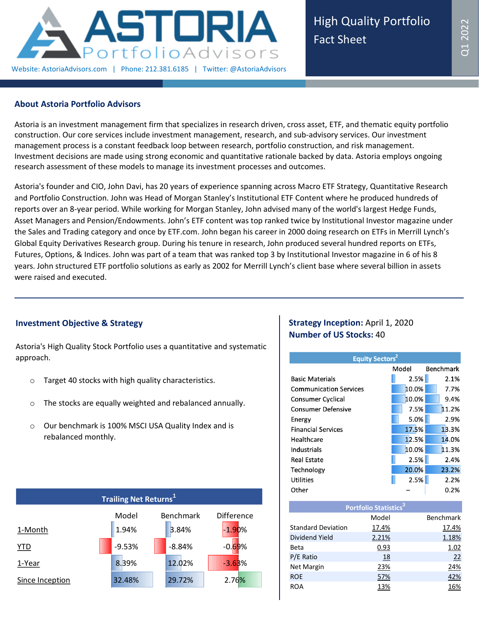

### **About Astoria Portfolio Advisors**

Astoria is an investment management firm that specializes in research driven, cross asset, ETF, and thematic equity portfolio construction. Our core services include investment management, research, and sub-advisory services. Our investment management process is a constant feedback loop between research, portfolio construction, and risk management. Investment decisions are made using strong economic and quantitative rationale backed by data. Astoria employs ongoing research assessment of these models to manage its investment processes and outcomes.

Astoria's founder and CIO, John Davi, has 20 years of experience spanning across Macro ETF Strategy, Quantitative Research and Portfolio Construction. John was Head of Morgan Stanley's Institutional ETF Content where he produced hundreds of reports over an 8-year period. While working for Morgan Stanley, John advised many of the world's largest Hedge Funds, Asset Managers and Pension/Endowments. John's ETF content was top ranked twice by Institutional Investor magazine under the Sales and Trading category and once by ETF.com. John began his career in 2000 doing research on ETFs in Merrill Lynch's Global Equity Derivatives Research group. During his tenure in research, John produced several hundred reports on ETFs, Futures, Options, & Indices. John was part of a team that was ranked top 3 by Institutional Investor magazine in 6 of his 8 years. John structured ETF portfolio solutions as early as 2002 for Merrill Lynch's client base where several billion in assets were raised and executed.

# **Investment Objective & Strategy**

Astoria's High Quality Stock Portfolio uses a quantitative and systematic approach.

- o Target 40 stocks with high quality characteristics.
- o The stocks are equally weighted and rebalanced annually.
- o Our benchmark is 100% MSCI USA Quality Index and is rebalanced monthly.



# **Strategy Inception: April 1, 2020 Number of US Stocks:** 40

| <b>Equity Sectors<sup>2</sup></b> |       |                  |  |  |  |  |  |
|-----------------------------------|-------|------------------|--|--|--|--|--|
|                                   | Model | <b>Benchmark</b> |  |  |  |  |  |
| <b>Basic Materials</b>            | 2.5%  | 2.1%             |  |  |  |  |  |
| <b>Communication Services</b>     | 10.0% | 7.7%             |  |  |  |  |  |
| <b>Consumer Cyclical</b>          | 10.0% | 9.4%             |  |  |  |  |  |
| <b>Consumer Defensive</b>         | 7.5%  | 11.2%            |  |  |  |  |  |
| Energy                            | 5.0%  | 2.9%             |  |  |  |  |  |
| <b>Financial Services</b>         | 17.5% | 13.3%            |  |  |  |  |  |
| Healthcare                        | 12.5% | 14.0%            |  |  |  |  |  |
| Industrials                       | 10.0% | 11.3%            |  |  |  |  |  |
| Real Estate                       | 2.5%  | 2.4%             |  |  |  |  |  |
| Technology                        | 20.0% | 23.2%            |  |  |  |  |  |
| Utilities                         | 2.5%  | 2.2%             |  |  |  |  |  |
| Other                             |       | 0.2%             |  |  |  |  |  |

| Portfolio Statistics <sup>3</sup> |       |           |  |  |  |  |  |
|-----------------------------------|-------|-----------|--|--|--|--|--|
|                                   | Model | Benchmark |  |  |  |  |  |
| <b>Standard Deviation</b>         | 17.4% | 17.4%     |  |  |  |  |  |
| Dividend Yield                    | 2.21% | 1.18%     |  |  |  |  |  |
| Beta                              | 0.93  | 1.02      |  |  |  |  |  |
| P/E Ratio                         | 18    | 22        |  |  |  |  |  |
| <b>Net Margin</b>                 | 23%   | 24%       |  |  |  |  |  |
| <b>ROE</b>                        | 57%   | 42%       |  |  |  |  |  |
| <b>ROA</b>                        | 13%   | 16%       |  |  |  |  |  |